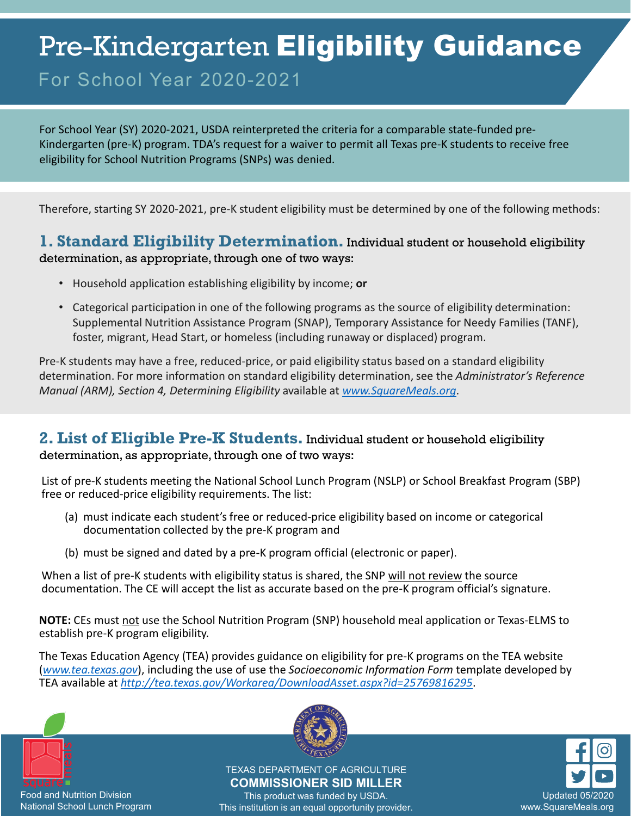# Pre-Kindergarten Eligibility Guidance

# For School Year 2020-2021

For School Year (SY) 2020-2021, USDA reinterpreted the criteria for a comparable state-funded pre-Kindergarten (pre-K) program. TDA's request for a waiver to permit all Texas pre-K students to receive free eligibility for School Nutrition Programs (SNPs) was denied.

Therefore, starting SY 2020-2021, pre-K student eligibility must be determined by one of the following methods:

#### **1. Standard Eligibility Determination.** Individual student or household eligibility determination, as appropriate, through one of two ways:

- Household application establishing eligibility by income; **or**
- Categorical participation in one of the following programs as the source of eligibility determination: Supplemental Nutrition Assistance Program (SNAP), Temporary Assistance for Needy Families (TANF), foster, migrant, Head Start, or homeless (including runaway or displaced) program.

Pre-K students may have a free, reduced-price, or paid eligibility status based on a standard eligibility determination. For more information on standard eligibility determination, see the *Administrator's Reference Manual (ARM), Section 4, Determining Eligibility* available at *[www.SquareMeals.org](http://www.squaremeals.org/)*.

## **2. List of Eligible Pre-K Students.** Individual student or household eligibility

determination, as appropriate, through one of two ways:

List of pre-K students meeting the National School Lunch Program (NSLP) or School Breakfast Program (SBP) free or reduced-price eligibility requirements. The list:

- (a) must indicate each student's free or reduced-price eligibility based on income or categorical documentation collected by the pre-K program and
- (b) must be signed and dated by a pre-K program official (electronic or paper).

When a list of pre-K students with eligibility status is shared, the SNP will not review the source documentation. The CE will accept the list as accurate based on the pre-K program official's signature.

**NOTE:** CEs must not use the School Nutrition Program (SNP) household meal application or Texas-ELMS to establish pre-K program eligibility.

The Texas Education Agency (TEA) provides guidance on eligibility for pre-K programs on the TEA website (*[www.tea.texas.gov](http://www.tea.texas.gov/)*), including the use of use the *Socioeconomic Information Form* template developed by TEA available at *<http://tea.texas.gov/Workarea/DownloadAsset.aspx?id=25769816295>*.



Food and Nutrition Division National School Lunch Program



TEXAS DEPARTMENT OF AGRICULTURE **COMMISSIONER SID MILLER**

This product was funded by USDA. This institution is an equal opportunity provider.